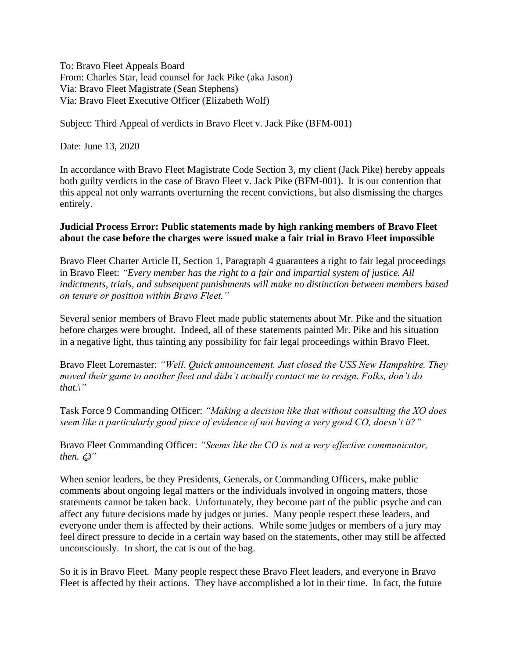To: Bravo Fleet Appeals Board From: Charles Star, lead counsel for Jack Pike (aka Jason) Via: Bravo Fleet Magistrate (Sean Stephens) Via: Bravo Fleet Executive Officer (Elizabeth Wolf)

Subject: Third Appeal of verdicts in Bravo Fleet v. Jack Pike (BFM-001)

Date: June 13, 2020

In accordance with Bravo Fleet Magistrate Code Section 3, my client (Jack Pike) hereby appeals both guilty verdicts in the case of Bravo Fleet v. Jack Pike (BFM-001). It is our contention that this appeal not only warrants overturning the recent convictions, but also dismissing the charges entirely.

#### **Judicial Process Error: Public statements made by high ranking members of Bravo Fleet about the case before the charges were issued make a fair trial in Bravo Fleet impossible**

Bravo Fleet Charter Article II, Section 1, Paragraph 4 guarantees a right to fair legal proceedings in Bravo Fleet: *"Every member has the right to a fair and impartial system of justice. All indictments, trials, and subsequent punishments will make no distinction between members based on tenure or position within Bravo Fleet."*

Several senior members of Bravo Fleet made public statements about Mr. Pike and the situation before charges were brought. Indeed, all of these statements painted Mr. Pike and his situation in a negative light, thus tainting any possibility for fair legal proceedings within Bravo Fleet.

Bravo Fleet Loremaster: *"Well. Quick announcement. Just closed the USS New Hampshire. They moved their game to another fleet and didn't actually contact me to resign. Folks, don't do that.\"*

Task Force 9 Commanding Officer: *"Making a decision like that without consulting the XO does seem like a particularly good piece of evidence of not having a very good CO, doesn't it?"*

Bravo Fleet Commanding Officer: *"Seems like the CO is not a very effective communicator, then.*  $\mathcal{Q}$ "

When senior leaders, be they Presidents, Generals, or Commanding Officers, make public comments about ongoing legal matters or the individuals involved in ongoing matters, those statements cannot be taken back. Unfortunately, they become part of the public psyche and can affect any future decisions made by judges or juries. Many people respect these leaders, and everyone under them is affected by their actions. While some judges or members of a jury may feel direct pressure to decide in a certain way based on the statements, other may still be affected unconsciously. In short, the cat is out of the bag.

So it is in Bravo Fleet. Many people respect these Bravo Fleet leaders, and everyone in Bravo Fleet is affected by their actions. They have accomplished a lot in their time. In fact, the future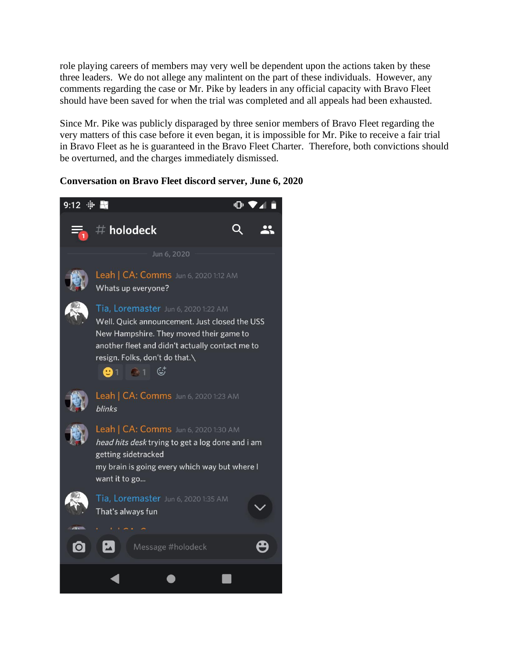role playing careers of members may very well be dependent upon the actions taken by these three leaders. We do not allege any malintent on the part of these individuals. However, any comments regarding the case or Mr. Pike by leaders in any official capacity with Bravo Fleet should have been saved for when the trial was completed and all appeals had been exhausted.

Since Mr. Pike was publicly disparaged by three senior members of Bravo Fleet regarding the very matters of this case before it even began, it is impossible for Mr. Pike to receive a fair trial in Bravo Fleet as he is guaranteed in the Bravo Fleet Charter. Therefore, both convictions should be overturned, and the charges immediately dismissed.

#### **Conversation on Bravo Fleet discord server, June 6, 2020**

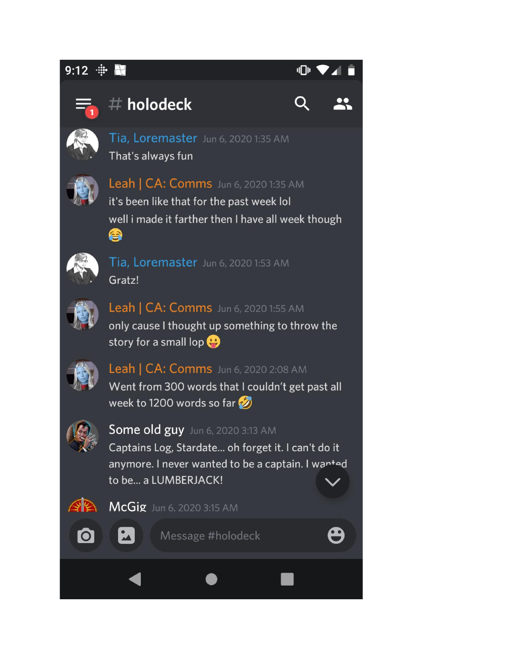#### 9:12 –

### վ∏⊩



## $#$  holodeck





Tia, Loremaster Jun 6, 2020 1:35 AM That's always fun



Leah | CA: Comms Jun 6, 2020 1:35 AM

it's been like that for the past week lol well i made it farther then I have all week though ❹



Tia, Loremaster Jun 6, 2020 1:53 AM Gratz!



Leah | CA: Comms Jun 6, 2020 1:55 AM only cause I thought up something to throw the story for a small lop  $\bigoplus$ 



Leah | CA: Comms Jun 6, 2020 2:08 AM Went from 300 words that I couldn't get past all week to 1200 words so far



Some old guy Jun 6, 2020 3:13 AM

Captains Log, Stardate... oh forget it. I can't do it anymore. I never wanted to be a captain. I wanted to be... a LUMBERJACK!



McGig Jun 6, 2020 3:15 AM



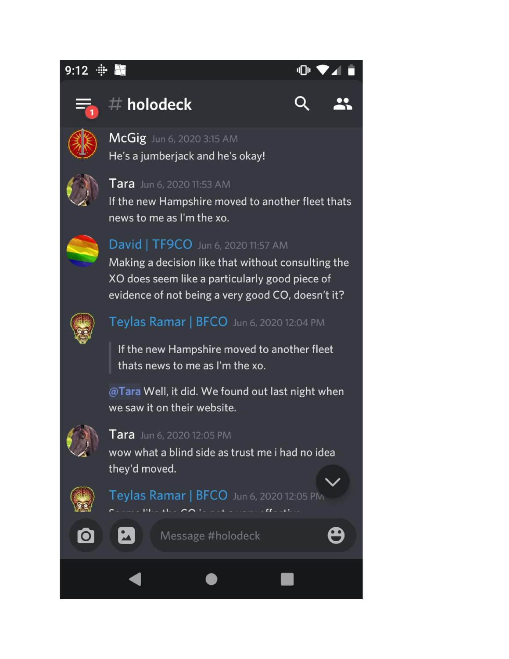### $9:12$   $\div$





# $#$  holodeck







#### **Tara** Jun 6, 2020 11:53 AM

If the new Hampshire moved to another fleet thats news to me as I'm the xo.



### David | TF9CO Jun 6, 2020 11:57 AM

Making a decision like that without consulting the XO does seem like a particularly good piece of evidence of not being a very good CO, doesn't it?



### Teylas Ramar | BFCO Jun 6, 2020 12:04 PM

If the new Hampshire moved to another fleet thats news to me as I'm the xo.

@Tara Well, it did. We found out last night when we saw it on their website.



#### **Tara** Jun 6, 2020 12:05 PM

wow what a blind side as trust me i had no idea they'd moved.



Teylas Ramar | BFCO Jun 6, 2020 12:05 PM  $\mathbf{u}$  . The set of  $\mathbf{u}$  is the set of  $\mathbf{u}$ 

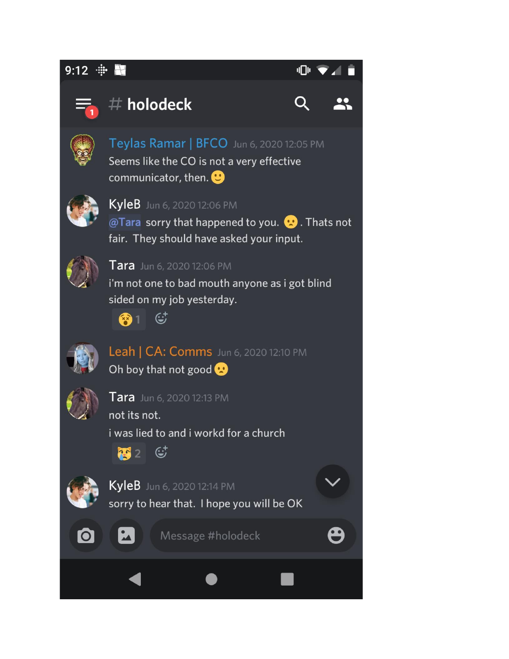#### $9:12$   $\div$ **Altra**





### $#$  holodeck





Teylas Ramar | BFCO Jun 6, 2020 12:05 PM Seems like the CO is not a very effective communicator, then.  $\bigoplus$ 



### KyleB Jun 6, 2020 12:06 PM

@Tara sorry that happened to you. @. Thats not fair. They should have asked your input.



#### Tara Jun 6, 2020 12:06 PM

i'm not one to bad mouth anyone as i got blind sided on my job yesterday.



Leah | CA: Comms Jun 6, 2020 12:10 PM Oh boy that not good



#### Tara Jun 6, 2020 12:13 PM

not its not. i was lied to and i workd for a church



 $\mathbf{L}$ 



**O** 

#### KyleB Jun 6, 2020 12:14 PM

sorry to hear that. I hope you will be OK





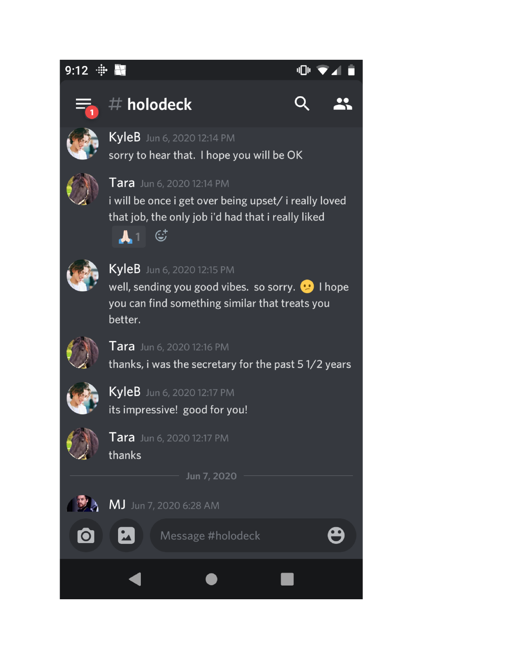#### $9:12$   $\div$ H.

| л |  |
|---|--|
|   |  |



# $#$  holodeck





sorry to hear that. I hope you will be OK



#### Tara Jun 6, 2020 12:14 PM

i will be once i get over being upset/ i really loved that job, the only job i'd had that i really liked





### KyleB Jun 6, 2020 12:15 PM

well, sending you good vibes. so sorry. **O** I hope you can find something similar that treats you better.



#### Tara Jun 6, 2020 12:16 PM

thanks, i was the secretary for the past 51/2 years



# KyleB Jun 6, 2020 12:17 PM

its impressive! good for you!



# Tara Jun 6, 2020 12:17 PM

thanks

Jun 7, 2020



MJ Jun 7, 2020 6:28 AM